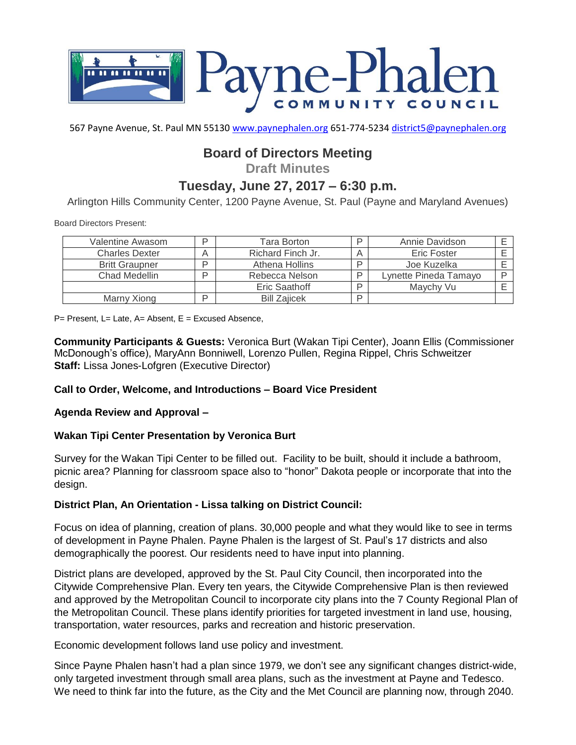

567 Payne Avenue, St. Paul MN 55130 [www.paynephalen.org](http://www.paynephalen.org/) 651-774-5234 [district5@paynephalen.org](mailto:district5@paynephalen.org)

# **Board of Directors Meeting**

**Draft Minutes**

# **Tuesday, June 27, 2017 – 6:30 p.m.**

Arlington Hills Community Center, 1200 Payne Avenue, St. Paul (Payne and Maryland Avenues)

Board Directors Present:

| Valentine Awasom      | D | Tara Borton         |    | Annie Davidson        |  |
|-----------------------|---|---------------------|----|-----------------------|--|
| <b>Charles Dexter</b> |   | Richard Finch Jr.   |    | Eric Foster           |  |
| <b>Britt Graupner</b> | D | Athena Hollins      |    | Joe Kuzelka           |  |
| Chad Medellin         | ח | Rebecca Nelson      | ח  | Lynette Pineda Tamayo |  |
|                       |   | Eric Saathoff       | רו | Maychy Vu             |  |
| Marny Xiong           | D | <b>Bill Zaiicek</b> | D  |                       |  |

P= Present, L= Late, A= Absent, E = Excused Absence,

**Community Participants & Guests:** Veronica Burt (Wakan Tipi Center), Joann Ellis (Commissioner McDonough's office), MaryAnn Bonniwell, Lorenzo Pullen, Regina Rippel, Chris Schweitzer **Staff:** Lissa Jones-Lofgren (Executive Director)

### **Call to Order, Welcome, and Introductions – Board Vice President**

#### **Agenda Review and Approval –**

### **Wakan Tipi Center Presentation by Veronica Burt**

Survey for the Wakan Tipi Center to be filled out. Facility to be built, should it include a bathroom, picnic area? Planning for classroom space also to "honor" Dakota people or incorporate that into the design.

#### **District Plan, An Orientation - Lissa talking on District Council:**

Focus on idea of planning, creation of plans. 30,000 people and what they would like to see in terms of development in Payne Phalen. Payne Phalen is the largest of St. Paul's 17 districts and also demographically the poorest. Our residents need to have input into planning.

District plans are developed, approved by the St. Paul City Council, then incorporated into the Citywide Comprehensive Plan. Every ten years, the Citywide Comprehensive Plan is then reviewed and approved by the Metropolitan Council to incorporate city plans into the 7 County Regional Plan of the Metropolitan Council. These plans identify priorities for targeted investment in land use, housing, transportation, water resources, parks and recreation and historic preservation.

Economic development follows land use policy and investment.

Since Payne Phalen hasn't had a plan since 1979, we don't see any significant changes district-wide, only targeted investment through small area plans, such as the investment at Payne and Tedesco. We need to think far into the future, as the City and the Met Council are planning now, through 2040.